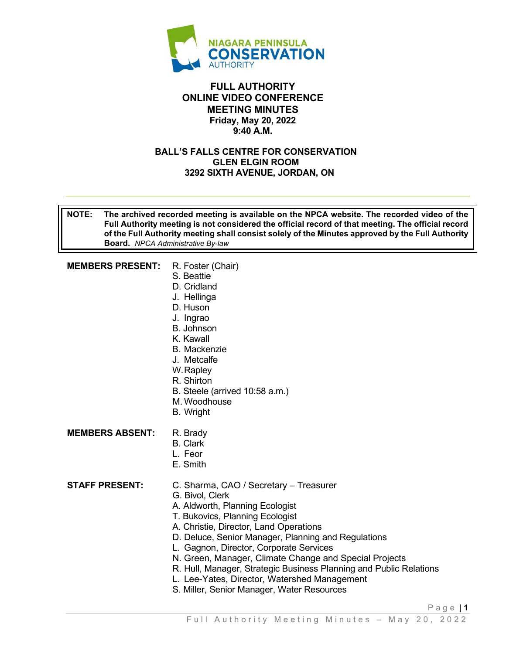

#### **FULL AUTHORITY ONLINE VIDEO CONFERENCE MEETING MINUTES Friday, May 20, 2022 9:40 A.M.**

#### **BALL'S FALLS CENTRE FOR CONSERVATION GLEN ELGIN ROOM 3292 SIXTH AVENUE, JORDAN, ON**

**NOTE: The archived recorded meeting is available on the NPCA website. The recorded video of the Full Authority meeting is not considered the official record of that meeting. The official record of the Full Authority meeting shall consist solely of the Minutes approved by the Full Authority Board.** *NPCA Administrative By-law* 

**MEMBERS PRESENT:** R. Foster (Chair)

- S. Beattie
- D. Cridland
- J. Hellinga
- D. Huson
- J. Ingrao
- B. Johnson
- K. Kawall
- B. Mackenzie
- J. Metcalfe
- W. Rapley
- R. Shirton
- B. Steele (arrived 10:58 a.m.)
- M. Woodhouse
- B. Wright
- **MEMBERS ABSENT: R. Brady** 
	- B. Clark
	- L. Feor
	- E. Smith

- **STAFF PRESENT:** C. Sharma, CAO / Secretary Treasurer
	- G. Bivol, Clerk
	- A. Aldworth, Planning Ecologist
	- T. Bukovics, Planning Ecologist
	- A. Christie, Director, Land Operations
	- D. Deluce, Senior Manager, Planning and Regulations
	- L. Gagnon, Director, Corporate Services
	- N. Green, Manager, Climate Change and Special Projects
	- R. Hull, Manager, Strategic Business Planning and Public Relations
	- L. Lee-Yates, Director, Watershed Management
	- S. Miller, Senior Manager, Water Resources

Page | **1**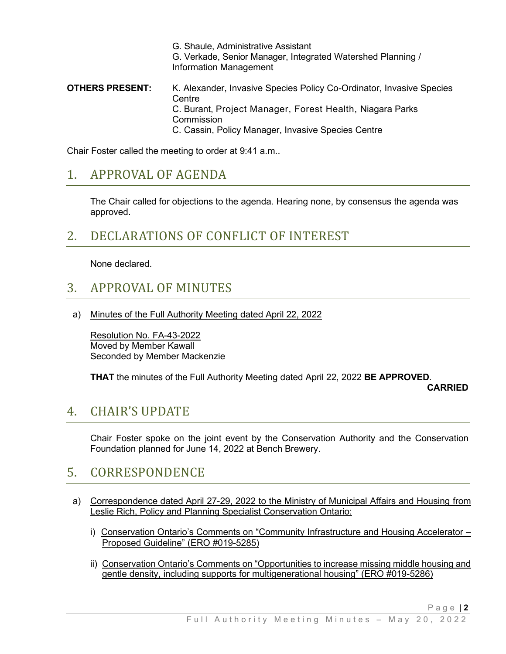G. Shaule, Administrative Assistant G. Verkade, Senior Manager, Integrated Watershed Planning / Information Management **OTHERS PRESENT:** K. Alexander, Invasive Species Policy Co-Ordinator, Invasive Species Centre C. Burant, Project Manager, Forest Health, Niagara Parks Commission C. Cassin, Policy Manager, Invasive Species Centre

Chair Foster called the meeting to order at 9:41 a.m..

### 1. APPROVAL OF AGENDA

The Chair called for objections to the agenda. Hearing none, by consensus the agenda was approved.

# 2. DECLARATIONS OF CONFLICT OF INTEREST

None declared.

### 3. APPROVAL OF MINUTES

a) Minutes of the Full Authority Meeting dated April 22, 2022

Resolution No. FA-43-2022 Moved by Member Kawall Seconded by Member Mackenzie

**THAT** the minutes of the Full Authority Meeting dated April 22, 2022 **BE APPROVED**.

#### **CARRIED**

#### 4. CHAIR'S UPDATE

Chair Foster spoke on the joint event by the Conservation Authority and the Conservation Foundation planned for June 14, 2022 at Bench Brewery.

# 5. CORRESPONDENCE

- a) Correspondence dated April 27-29, 2022 to the Ministry of Municipal Affairs and Housing from Leslie Rich, Policy and Planning Specialist Conservation Ontario:
	- i) Conservation Ontario's Comments on "Community Infrastructure and Housing Accelerator Proposed Guideline" (ERO #019-5285)
	- ii) Conservation Ontario's Comments on "Opportunities to increase missing middle housing and gentle density, including supports for multigenerational housing" (ERO #019-5286)

Page | **2**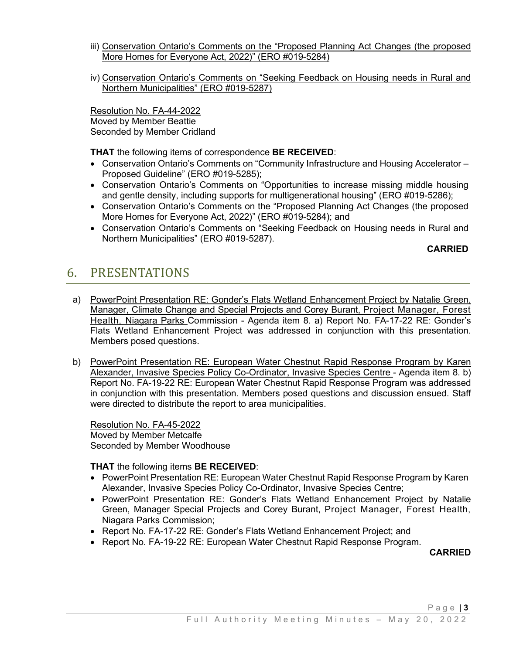- iii) Conservation Ontario's Comments on the "Proposed Planning Act Changes (the proposed More Homes for Everyone Act, 2022)" (ERO #019-5284)
- iv) Conservation Ontario's Comments on "Seeking Feedback on Housing needs in Rural and Northern Municipalities" (ERO #019-5287)

Resolution No. FA-44-2022 Moved by Member Beattie Seconded by Member Cridland

**THAT** the following items of correspondence **BE RECEIVED**:

- Conservation Ontario's Comments on "Community Infrastructure and Housing Accelerator Proposed Guideline" (ERO #019-5285);
- Conservation Ontario's Comments on "Opportunities to increase missing middle housing and gentle density, including supports for multigenerational housing" (ERO #019-5286);
- Conservation Ontario's Comments on the "Proposed Planning Act Changes (the proposed More Homes for Everyone Act, 2022)" (ERO #019-5284); and
- Conservation Ontario's Comments on "Seeking Feedback on Housing needs in Rural and Northern Municipalities" (ERO #019-5287).

#### **CARRIED**

### 6. PRESENTATIONS

- a) PowerPoint Presentation RE: Gonder's Flats Wetland Enhancement Project by Natalie Green, Manager, Climate Change and Special Projects and Corey Burant, Project Manager, Forest Health, Niagara Parks Commission - Agenda item 8. a) Report No. FA-17-22 RE: Gonder's Flats Wetland Enhancement Project was addressed in conjunction with this presentation. Members posed questions.
- b) PowerPoint Presentation RE: European Water Chestnut Rapid Response Program by Karen Alexander, Invasive Species Policy Co-Ordinator, Invasive Species Centre - Agenda item 8. b) Report No. FA-19-22 RE: European Water Chestnut Rapid Response Program was addressed in conjunction with this presentation. Members posed questions and discussion ensued. Staff were directed to distribute the report to area municipalities.

Resolution No. FA-45-2022 Moved by Member Metcalfe Seconded by Member Woodhouse

**THAT** the following items **BE RECEIVED**:

- PowerPoint Presentation RE: European Water Chestnut Rapid Response Program by Karen Alexander, Invasive Species Policy Co-Ordinator, Invasive Species Centre;
- PowerPoint Presentation RE: Gonder's Flats Wetland Enhancement Project by Natalie Green, Manager Special Projects and Corey Burant, Project Manager, Forest Health, Niagara Parks Commission;
- Report No. FA-17-22 RE: Gonder's Flats Wetland Enhancement Project; and
- Report No. FA-19-22 RE: European Water Chestnut Rapid Response Program.

**CARRIED**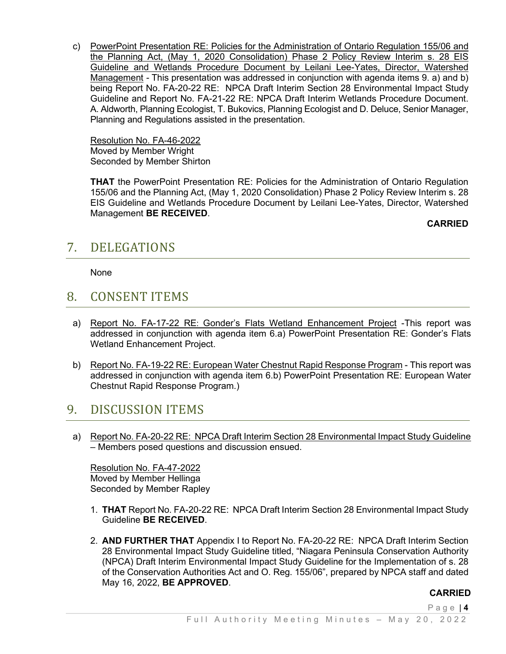c) PowerPoint Presentation RE: Policies for the Administration of Ontario Regulation 155/06 and the Planning Act, (May 1, 2020 Consolidation) Phase 2 Policy Review Interim s. 28 EIS Guideline and Wetlands Procedure Document by Leilani Lee-Yates, Director, Watershed Management *-* This presentation was addressed in conjunction with agenda items 9. a) and b) being Report No. FA-20-22 RE: NPCA Draft Interim Section 28 Environmental Impact Study Guideline and Report No. FA-21-22 RE: NPCA Draft Interim Wetlands Procedure Document. A. Aldworth, Planning Ecologist, T. Bukovics, Planning Ecologist and D. Deluce, Senior Manager, Planning and Regulations assisted in the presentation.

Resolution No. FA-46-2022 Moved by Member Wright Seconded by Member Shirton

**THAT** the PowerPoint Presentation RE: Policies for the Administration of Ontario Regulation 155/06 and the Planning Act, (May 1, 2020 Consolidation) Phase 2 Policy Review Interim s. 28 EIS Guideline and Wetlands Procedure Document by Leilani Lee-Yates, Director, Watershed Management **BE RECEIVED**.

**CARRIED**

# 7. DELEGATIONS

None

# 8. CONSENT ITEMS

- a) Report No. FA-17-22 RE: Gonder's Flats Wetland Enhancement Project -This report was addressed in conjunction with agenda item 6.a) PowerPoint Presentation RE: Gonder's Flats Wetland Enhancement Project.
- b) Report No. FA-19-22 RE: European Water Chestnut Rapid Response Program This report was addressed in conjunction with agenda item 6.b) PowerPoint Presentation RE: European Water Chestnut Rapid Response Program.)

# 9. DISCUSSION ITEMS

a) Report No. FA-20-22 RE: NPCA Draft Interim Section 28 Environmental Impact Study Guideline – Members posed questions and discussion ensued.

Resolution No. FA-47-2022 Moved by Member Hellinga Seconded by Member Rapley

- 1. **THAT** Report No. FA-20-22 RE: NPCA Draft Interim Section 28 Environmental Impact Study Guideline **BE RECEIVED**.
- 2. **AND FURTHER THAT** Appendix I to Report No. FA-20-22 RE: NPCA Draft Interim Section 28 Environmental Impact Study Guideline titled, "Niagara Peninsula Conservation Authority (NPCA) Draft Interim Environmental Impact Study Guideline for the Implementation of s. 28 of the Conservation Authorities Act and O. Reg. 155/06", prepared by NPCA staff and dated May 16, 2022, **BE APPROVED**.

#### **CARRIED**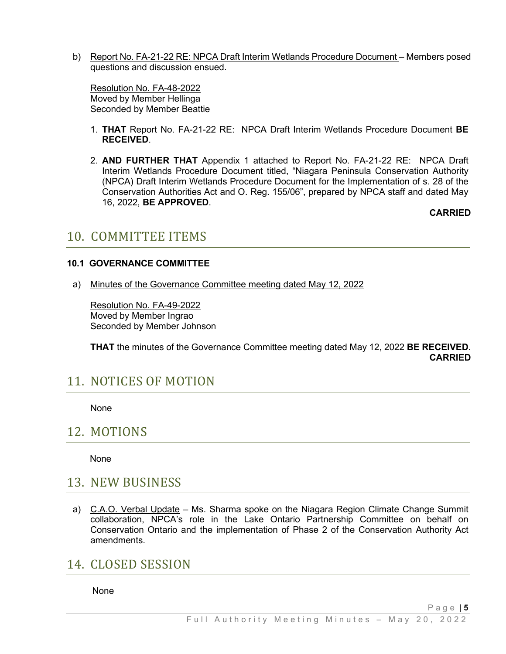b) Report No. FA-21-22 RE: NPCA Draft Interim Wetlands Procedure Document – Members posed questions and discussion ensued.

Resolution No. FA-48-2022 Moved by Member Hellinga Seconded by Member Beattie

- 1. **THAT** Report No. FA-21-22 RE: NPCA Draft Interim Wetlands Procedure Document **BE RECEIVED**.
- 2. **AND FURTHER THAT** Appendix 1 attached to Report No. FA-21-22 RE: NPCA Draft Interim Wetlands Procedure Document titled, "Niagara Peninsula Conservation Authority (NPCA) Draft Interim Wetlands Procedure Document for the Implementation of s. 28 of the Conservation Authorities Act and O. Reg. 155/06", prepared by NPCA staff and dated May 16, 2022, **BE APPROVED**.

**CARRIED**

#### 10. COMMITTEE ITEMS

#### **10.1 GOVERNANCE COMMITTEE**

a) Minutes of the Governance Committee meeting dated May 12, 2022

Resolution No. FA-49-2022 Moved by Member Ingrao Seconded by Member Johnson

**THAT** the minutes of the Governance Committee meeting dated May 12, 2022 **BE RECEIVED**. **CARRIED**

#### 11. NOTICES OF MOTION

None

#### 12. MOTIONS

None

#### 13. NEW BUSINESS

a) C.A.O. Verbal Update – Ms. Sharma spoke on the Niagara Region Climate Change Summit collaboration, NPCA's role in the Lake Ontario Partnership Committee on behalf on Conservation Ontario and the implementation of Phase 2 of the Conservation Authority Act amendments.

# 14. CLOSED SESSION

None